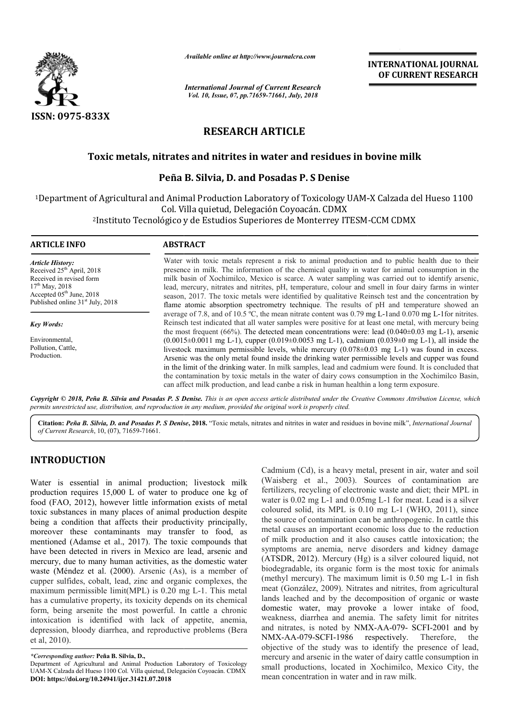

*Available online at http://www.journalcra.com*

*International Journal of Current Research Vol. 10, Issue, 07, pp.71659-71661, July, 2018*

**INTERNATIONAL JOURNAL OF CURRENT RESEARCH**

# **RESEARCH ARTICLE**

## Toxic metals, nitrates and nitrites in water and residues in bovine milk

### **Peña B. Silvia, D. and eña Posadas P. S Denise**

1Department of Agricultural and Animal Production Laboratory of Toxicology UAM-X Calzada del Hueso 1100 Col. Villa quietud, Delegación Coyoacán. CDMX <sup>2</sup>Instituto Tecnológico y de Estudios Superiores de Monterrey ITESM-CCM CDMX

| <b>ARTICLE INFO</b>                                                                                                                                                                            | <b>ABSTRACT</b>                                                                                                                                                                                                                                                                                                                                                                                                                                                                                                                                                                                                                                                       |  |  |
|------------------------------------------------------------------------------------------------------------------------------------------------------------------------------------------------|-----------------------------------------------------------------------------------------------------------------------------------------------------------------------------------------------------------------------------------------------------------------------------------------------------------------------------------------------------------------------------------------------------------------------------------------------------------------------------------------------------------------------------------------------------------------------------------------------------------------------------------------------------------------------|--|--|
| <b>Article History:</b><br>Received 25 <sup>th</sup> April, 2018<br>Received in revised form<br>$17th$ May, 2018<br>Accepted $05th$ June, 2018<br>Published online 31 <sup>st</sup> July, 2018 | Water with toxic metals represent a risk to animal production and to public health due to their<br>presence in milk. The information of the chemical quality in water for animal consumption in the<br>milk basin of Xochimilco, Mexico is scarce. A water sampling was carried out to identify arsenic,<br>lead, mercury, nitrates and nitrites, pH, temperature, colour and smell in four dairy farms in winter<br>season, 2017. The toxic metals were identified by qualitative Reinsch test and the concentration by<br>flame atomic absorption spectrometry technique. The results of pH and temperature showed an                                               |  |  |
| <b>Key Words:</b>                                                                                                                                                                              | average of 7.8, and of 10.5 °C, the mean nitrate content was 0.79 mg L-1 and 0.070 mg L-1 for nitrites.<br>Reinsch test indicated that all water samples were positive for at least one metal, with mercury being<br>the most frequent (66%). The detected mean concentrations were: lead (0.040 $\pm$ 0.03 mg L-1), arsenic                                                                                                                                                                                                                                                                                                                                          |  |  |
| Environmental,<br>Pollution, Cattle,<br>Production.                                                                                                                                            | $(0.0015\pm0.0011 \text{ mg L-1})$ , cupper $(0.019\pm0.0053 \text{ mg L-1})$ , cadmium $(0.039\pm0 \text{ mg L-1})$ , all inside the<br>livestock maximum permissible levels, while mercury $(0.078 \pm 0.03 \text{ mg L-1})$ was found in excess.<br>Arsenic was the only metal found inside the drinking water permissible levels and cupper was found<br>in the limit of the drinking water. In milk samples, lead and cadmium were found. It is concluded that<br>the contamination by toxic metals in the water of dairy cows consumption in the Xochimilco Basin,<br>can affect milk production, and lead canbe a risk in human healthin a long term exposure. |  |  |

Copyright © 2018, Peña B. Silvia and Posadas P. S Denise. This is an open access article distributed under the Creative Commons Attribution License, which permits unrestricted use, distribution, and reproduction in any medium, provided the original work is properly cited.

Citation: Peña B. Silvia, D. and Posadas P. S Denise, 2018. "Toxic metals, nitrates and nitrites in water and residues in bovine milk", *International Journal of Current Research*, 10, (07), 71659-71661.

## **INTRODUCTION**

Water is essential in animal production; livestock milk production requires 15,000 L of water to produce one kg of food (FAO, 2012), however little information exists of metal toxic substances in many places of animal production despite being a condition that affects their productivity principally, moreover these contaminants may transfer to food, as mentioned (Adamse et al., 2017). The toxic compounds that have been detected in rivers in Mexico are lead, arsenic and mercury, due to many human activities, as the domestic water waste (Méndez et al. (2000). Arsenic (As), is a member of cupper sulfides, cobalt, lead, zinc and organic complexes, the maximum permissible limit(MPL) is 0.20 mg L-1. This metal has a cumulative property, its toxicity depends on its chemical form, being arsenite the most powerful. In cattle a chronic intoxication is identified with lack of appetite, anemia, depression, bloody diarrhea, and reproductive problems (Bera et al, 2010). hat affects their productivity principally,<br>ontaminants may transfer to food, as<br>et al., 2017). The toxic compounds that<br>in rivers in Mexico are lead, arsenic and<br>ny human activities, as the domestic water<br>al. (2000). Ars

Fig. is assential in animal production; livestock milk Cadmium (Ca), is a heavy metal, present in air, water and soil of twarfer to produce one kg of fertilizers, recycling of electronic waste and diet, their MPL in (FAO, Cadmium (Cd), is a heavy metal, present in air, water and soil (Waisberg et al., 2003). Sources of contamination are fertilizers, recycling of electronic waste and diet; their MPL in fertilizers, recycling of electronic waste and diet; their MPL in water is 0.02 mg L-1 and 0.05mg L-1 for meat. Lead is a silver coloured solid, its MPL is  $0.10$  mg L-1 (WHO, 2011), since the source of contamination can be anthropogenic. I In cattle this metal causes an important economic loss due to the reduction of milk production and it also causes cattle intoxication; the symptoms are anemia, nerve disorders and kidney damage (ATSDR, 2012). Mercury (Hg) is a silver coloured liquid, not biodegradable, its organic form is the most toxic for animals (methyl mercury). The maximum limit is 0.50 mg L meat (González, 2009). Nitrates and nitrites, from agricultural meat (González, 2009). Nitrates and nitrites, from agricultural lands leached and by the decomposition of organic or waste domestic water, may provoke a lower intake of food, weakness, diarrhea and anemia. The safety limit for nitrites and nitrates, is noted by NMX-AA-079- SCFI-2001 and by NMX-AA-079-SCFI-1986 objective of the study was to identify the presence of lead, mercury and arsenic in the water of dairy cattle consumption in small productions, located in Xochimilco, Mexico City, the mean concentration in water and in raw milk. metal causes an important economic loss due to the reduction<br>of milk production and it also causes cattle intoxication; the<br>symptoms are anemia, nerve disorders and kidney damage<br>(ATSDR, 2012). Mercury (Hg) is a silver col respectively. Therefore, the INTERNATIONAL JOURNAL<br>
INTERNATIONAL JOURNAL<br>
IN Research<br>
OF CURRENT RESEARCH<br>
OF CURRENT RESEARCH<br>
CLE<br>
T and residues in bovine milk<br>
las P. S Denise<br>
yof Toxicology UAM-X Calzada del Hueso 1100<br>
or operation CDMX<br>
det

*<sup>\*</sup>Corresponding author:* **Peña B. Silvia, D.,**

Department of Agricultural and Animal Production Laboratory of Toxicology UAM-X Calzada del Hueso 1100 Col. Villa quietud, Delegación Coyoacán. CDMX **DOI: https://doi.org/10.24941/ijcr.31421.07.2018**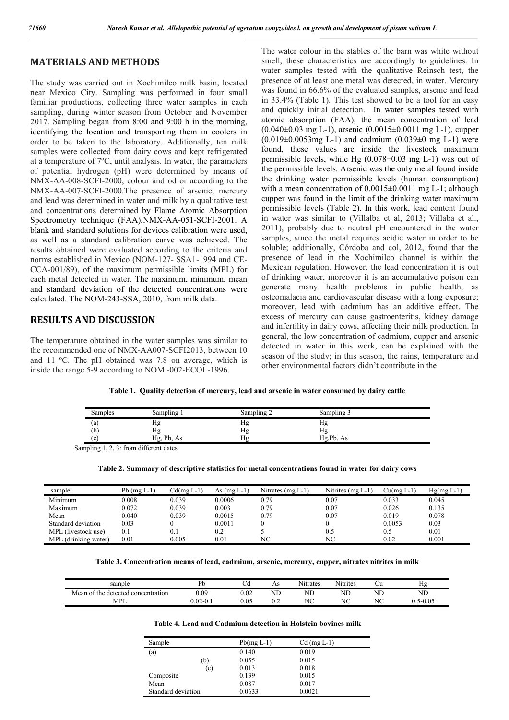#### **MATERIALS AND METHODS**

The study was carried out in Xochimilco milk basin, located near Mexico City. Sampling was performed in four small familiar productions, collecting three water samples in each sampling, during winter season from October and November 2017. Sampling began from 8:00 and 9:00 h in the morning, identifying the location and transporting them in coolers in order to be taken to the laboratory. Additionally, ten milk samples were collected from dairy cows and kept refrigerated at a temperature of 7ºC, until analysis. In water, the parameters of potential hydrogen (pH) were determined by means of NMX-AA-008-SCFI-2000, colour and od or according to the NMX-AA-007-SCFI-2000.The presence of arsenic, mercury and lead was determined in water and milk by a qualitative test and concentrations determined by Flame Atomic Absorption Spectrometry technique (FAA),NMX-AA-051-SCFI-2001. A blank and standard solutions for devices calibration were used, as well as a standard calibration curve was achieved. The results obtained were evaluated according to the criteria and norms established in Mexico (NOM-127- SSA1-1994 and CE-CCA-001/89), of the maximum permissible limits (MPL) for each metal detected in water. The maximum, minimum, mean and standard deviation of the detected concentrations were calculated. The NOM-243-SSA, 2010, from milk data.

#### **RESULTS AND DISCUSSION**

The temperature obtained in the water samples was similar to the recommended one of NMX-AA007-SCFI2013, between 10 and 11 ºC. The pH obtained was 7.8 on average, which is inside the range 5-9 according to NOM -002-ECOL-1996.

The water colour in the stables of the barn was white without smell, these characteristics are accordingly to guidelines. In water samples tested with the qualitative Reinsch test, the presence of at least one metal was detected, in water. Mercury was found in 66.6% of the evaluated samples, arsenic and lead in 33.4% (Table 1). This test showed to be a tool for an easy and quickly initial detection. In water samples tested with atomic absorption (FAA), the mean concentration of lead  $(0.040\pm0.03 \text{ m}$ g L-1), arsenic  $(0.0015\pm0.0011 \text{ m}$ g L-1), cupper  $(0.019\pm0.0053$  mg L-1) and cadmium  $(0.039\pm0$  mg L-1) were found, these values are inside the livestock maximum permissible levels, while Hg (0.078±0.03 mg L-1) was out of the permissible levels. Arsenic was the only metal found inside the drinking water permissible levels (human consumption) with a mean concentration of  $0.0015\pm0.0011$  mg L-1; although cupper was found in the limit of the drinking water maximum permissible levels (Table 2). In this work, lead content found in water was similar to (Villalba et al, 2013; Villaba et al., 2011), probably due to neutral pH encountered in the water samples, since the metal requires acidic water in order to be soluble; additionally, Córdoba and col, 2012, found that the presence of lead in the Xochimilco channel is within the Mexican regulation. However, the lead concentration it is out of drinking water, moreover it is an accumulative poison can generate many health problems in public health, as osteomalacia and cardiovascular disease with a long exposure; moreover, lead with cadmium has an additive effect. The excess of mercury can cause gastroenteritis, kidney damage and infertility in dairy cows, affecting their milk production. In general, the low concentration of cadmium, cupper and arsenic detected in water in this work, can be explained with the season of the study; in this season, the rains, temperature and other environmental factors didn't contribute in the

**Table 1. Quality detection of mercury, lead and arsenic in water consumed by dairy cattle**

| Samples | Sampling   | Sampling 2 | Sampling 3         |  |
|---------|------------|------------|--------------------|--|
| (a)     | Hg         | нg         | $\mathbf{v}$<br>Нg |  |
| (b)     | Hg         | Hg         | Hg                 |  |
| l c     | Hg, Pb, As | Ηg         | Hg,Pb, As          |  |

Sampling 1, 2, 3: from different dates

| Table 2. Summary of descriptive statistics for metal concentrations found in water for dairy cows |  |
|---------------------------------------------------------------------------------------------------|--|
|                                                                                                   |  |

| sample               | $Pb$ (mg $L-1$ ) | Cd(mg L-1) | As $(mg L-1)$ | Nitrates (mg $L-1$ ) | Nitrites (mg L-1) | Cu(mg L-1) | $Hg(mg L-1)$ |
|----------------------|------------------|------------|---------------|----------------------|-------------------|------------|--------------|
| Minimum              | 0.008            | 0.039      | 0.0006        | 0.79                 | 0.07              | 0.033      | 0.045        |
| Maximum              | 0.072            | 0.039      | 0.003         | 0.79                 | 0.07              | 0.026      | 0.135        |
| Mean                 | 0.040            | 0.039      | 0.0015        | 0.79                 | 0.07              | 0.019      | 0.078        |
| Standard deviation   | 0.03             |            | 0.0011        |                      |                   | 0.0053     | 0.03         |
| MPL (livestock use)  | 0.1              |            | 0.2           |                      | 0.5               | 0.5        | 0.01         |
| MPL (drinking water) | 0.01             | 0.005      | 0.01          | NС                   | NC                | 0.02       | 0.001        |

**Table 3. Concentration means of lead, cadmium, arsenic, mercury, cupper, nitrates nitrites in milk**

| sample                                  | Dŀ           | ັ              | As                | $\mathbf{v}$<br>Nitrates | $\mathbf{X}$<br>Nitrites |                   | v v<br>Ηg |
|-----------------------------------------|--------------|----------------|-------------------|--------------------------|--------------------------|-------------------|-----------|
| Mean<br>n of the detected concentration | 0.09         | $\sim$<br>0.02 | $\sqrt{1}$<br>ND. | $\sqrt{1}$<br>٦L         | $\sqrt{1}$<br>NL         | $\sqrt{1}$<br>'NL | ND        |
| MPL                                     | $0.02 - 0.1$ | 0.05           | ◡.∠               | $\sqrt{2}$<br>$\sim$     | NC                       | NC<br>19 U        | 5-0.05    |

**Table 4. Lead and Cadmium detection in Holstein bovines milk**

| Sample             | $Pb(mg L-1)$ | $Cd$ (mg $L-1$ ) |
|--------------------|--------------|------------------|
| (a)                | 0.140        | 0.019            |
| (b)                | 0.055        | 0.015            |
| (c)                | 0.013        | 0.018            |
| Composite          | 0.139        | 0.015            |
| Mean               | 0.087        | 0.017            |
| Standard deviation | 0.0633       | 0.0021           |